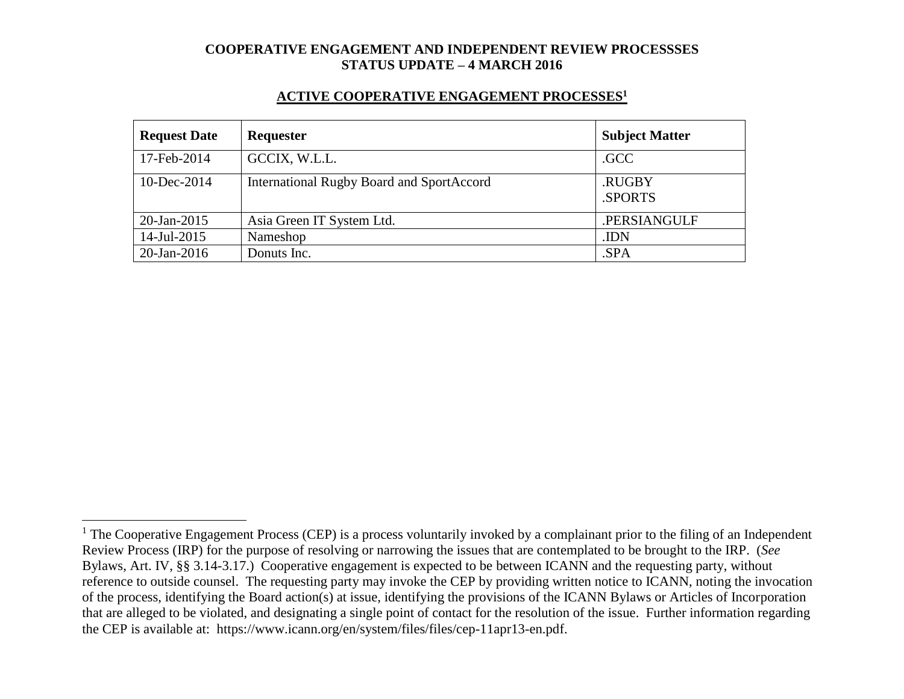#### **ACTIVE COOPERATIVE ENGAGEMENT PROCESSES<sup>1</sup>**

| <b>Request Date</b> | Requester                                        | <b>Subject Matter</b> |
|---------------------|--------------------------------------------------|-----------------------|
| 17-Feb-2014         | GCCIX, W.L.L.                                    | .GCC                  |
| 10-Dec-2014         | <b>International Rugby Board and SportAccord</b> | .RUGBY<br>.SPORTS     |
| $20$ -Jan-2015      | Asia Green IT System Ltd.                        | .PERSIANGULF          |
| 14-Jul-2015         | Nameshop                                         | .IDN                  |
| $20$ -Jan-2016      | Donuts Inc.                                      | .SPA                  |

 $1$  The Cooperative Engagement Process (CEP) is a process voluntarily invoked by a complainant prior to the filing of an Independent Review Process (IRP) for the purpose of resolving or narrowing the issues that are contemplated to be brought to the IRP. (*See* Bylaws, Art. IV, §§ 3.14-3.17.) Cooperative engagement is expected to be between ICANN and the requesting party, without reference to outside counsel. The requesting party may invoke the CEP by providing written notice to ICANN, noting the invocation of the process, identifying the Board action(s) at issue, identifying the provisions of the ICANN Bylaws or Articles of Incorporation that are alleged to be violated, and designating a single point of contact for the resolution of the issue. Further information regarding the CEP is available at: https://www.icann.org/en/system/files/files/cep-11apr13-en.pdf.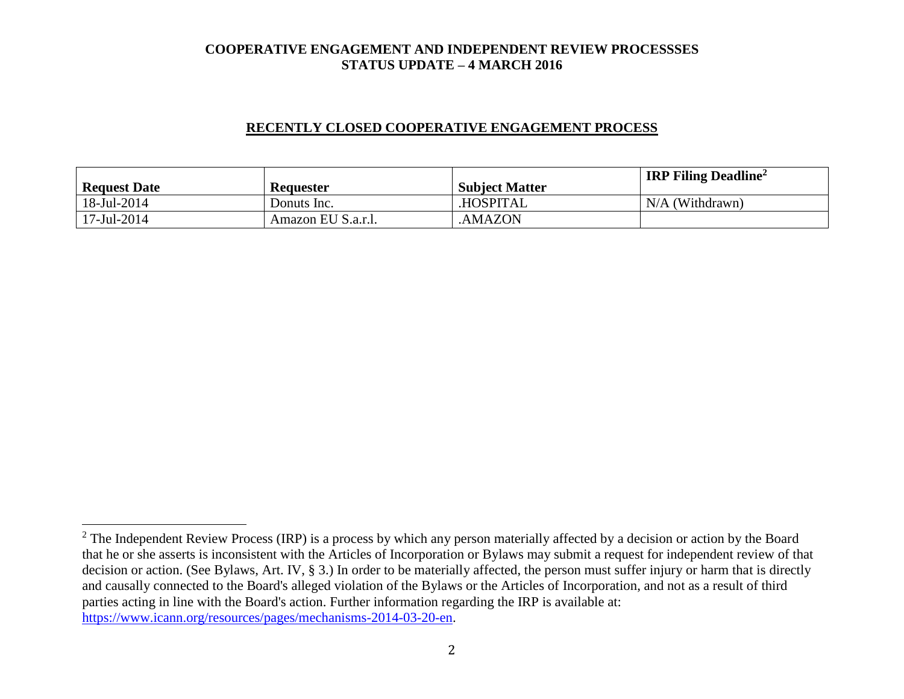### **RECENTLY CLOSED COOPERATIVE ENGAGEMENT PROCESS**

| <b>Request Date</b> | <b>Requester</b>   | <b>Subject Matter</b> | <b>IRP Filing Deadline</b> <sup>2</sup> |
|---------------------|--------------------|-----------------------|-----------------------------------------|
| 18-Jul-2014         | Donuts Inc.        | <b>HOSPITAL</b>       | $N/A$ (Withdrawn)                       |
| 17-Jul-2014         | Amazon EU S.a.r.l. | AMAZON.               |                                         |

 $2$  The Independent Review Process (IRP) is a process by which any person materially affected by a decision or action by the Board that he or she asserts is inconsistent with the Articles of Incorporation or Bylaws may submit a request for independent review of that decision or action. (See Bylaws, Art. IV, § 3.) In order to be materially affected, the person must suffer injury or harm that is directly and causally connected to the Board's alleged violation of the Bylaws or the Articles of Incorporation, and not as a result of third parties acting in line with the Board's action. Further information regarding the IRP is available at: [https://www.icann.org/resources/pages/mechanisms-2014-03-20-en.](https://www.icann.org/resources/pages/mechanisms-2014-03-20-en)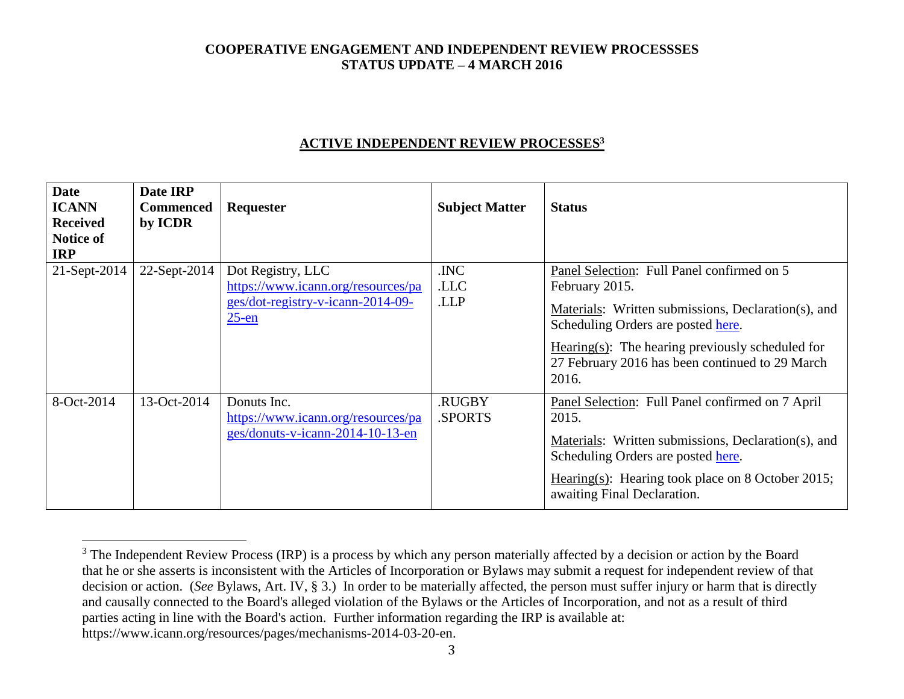### **ACTIVE INDEPENDENT REVIEW PROCESSES<sup>3</sup>**

| <b>Date</b><br><b>ICANN</b><br><b>Received</b><br>Notice of<br><b>IRP</b> | Date IRP<br><b>Commenced</b><br>by ICDR | Requester                                                                                                | <b>Subject Matter</b> | <b>Status</b>                                                                                                                                                                                                                                                                |
|---------------------------------------------------------------------------|-----------------------------------------|----------------------------------------------------------------------------------------------------------|-----------------------|------------------------------------------------------------------------------------------------------------------------------------------------------------------------------------------------------------------------------------------------------------------------------|
| 21-Sept-2014                                                              | 22-Sept-2014                            | Dot Registry, LLC<br>https://www.icann.org/resources/pa<br>ges/dot-registry-v-icann-2014-09-<br>$25$ -en | .INC<br>.LLC<br>.LLP  | Panel Selection: Full Panel confirmed on 5<br>February 2015.<br>Materials: Written submissions, Declaration(s), and<br>Scheduling Orders are posted here.<br>$Hearing(s)$ : The hearing previously scheduled for<br>27 February 2016 has been continued to 29 March<br>2016. |
| 8-Oct-2014                                                                | 13-Oct-2014                             | Donuts Inc.<br>https://www.icann.org/resources/pa<br>ges/donuts-v-icann-2014-10-13-en                    | .RUGBY<br>SPORTS.     | Panel Selection: Full Panel confirmed on 7 April<br>2015.<br>Materials: Written submissions, Declaration(s), and<br>Scheduling Orders are posted here.<br>Hearing(s): Hearing took place on 8 October 2015;<br>awaiting Final Declaration.                                   |

 $3$  The Independent Review Process (IRP) is a process by which any person materially affected by a decision or action by the Board that he or she asserts is inconsistent with the Articles of Incorporation or Bylaws may submit a request for independent review of that decision or action. (*See* Bylaws, Art. IV, § 3.) In order to be materially affected, the person must suffer injury or harm that is directly and causally connected to the Board's alleged violation of the Bylaws or the Articles of Incorporation, and not as a result of third parties acting in line with the Board's action. Further information regarding the IRP is available at: https://www.icann.org/resources/pages/mechanisms-2014-03-20-en.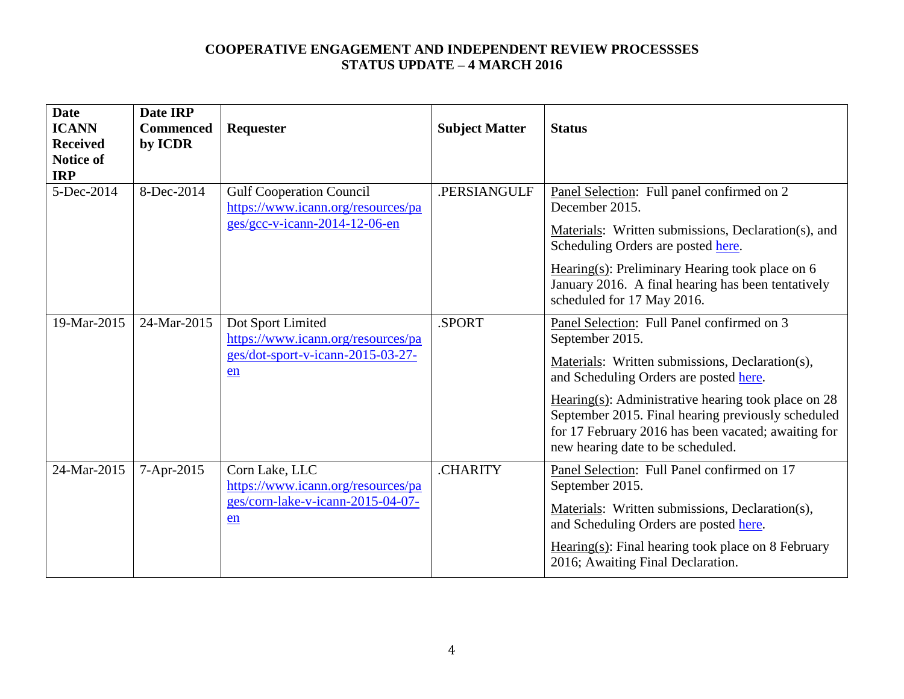| <b>Date</b><br><b>ICANN</b><br><b>Received</b><br><b>Notice of</b><br><b>IRP</b> | Date IRP<br><b>Commenced</b><br>by ICDR | Requester                                                                                                | <b>Subject Matter</b> | <b>Status</b>                                                                                                                                                                                                                                                                                                                                                         |
|----------------------------------------------------------------------------------|-----------------------------------------|----------------------------------------------------------------------------------------------------------|-----------------------|-----------------------------------------------------------------------------------------------------------------------------------------------------------------------------------------------------------------------------------------------------------------------------------------------------------------------------------------------------------------------|
| 5-Dec-2014                                                                       | 8-Dec-2014                              | <b>Gulf Cooperation Council</b><br>https://www.icann.org/resources/pa<br>$ges/gcc-v-icann-2014-12-06-en$ | .PERSIANGULF          | Panel Selection: Full panel confirmed on 2<br>December 2015.<br>Materials: Written submissions, Declaration(s), and<br>Scheduling Orders are posted here.<br>Hearing $(s)$ : Preliminary Hearing took place on 6<br>January 2016. A final hearing has been tentatively<br>scheduled for 17 May 2016.                                                                  |
| 19-Mar-2015                                                                      | 24-Mar-2015                             | Dot Sport Limited<br>https://www.icann.org/resources/pa<br>ges/dot-sport-v-icann-2015-03-27-<br>en       | .SPORT                | Panel Selection: Full Panel confirmed on 3<br>September 2015.<br>Materials: Written submissions, Declaration(s),<br>and Scheduling Orders are posted here.<br>Hearing(s): Administrative hearing took place on $28$<br>September 2015. Final hearing previously scheduled<br>for 17 February 2016 has been vacated; awaiting for<br>new hearing date to be scheduled. |
| 24-Mar-2015                                                                      | 7-Apr-2015                              | Corn Lake, LLC<br>https://www.icann.org/resources/pa<br>ges/corn-lake-v-icann-2015-04-07-<br>en          | .CHARITY              | Panel Selection: Full Panel confirmed on 17<br>September 2015.<br>Materials: Written submissions, Declaration(s),<br>and Scheduling Orders are posted here.<br>$Hearing(s): Final hearing took place on 8 February$<br>2016; Awaiting Final Declaration.                                                                                                              |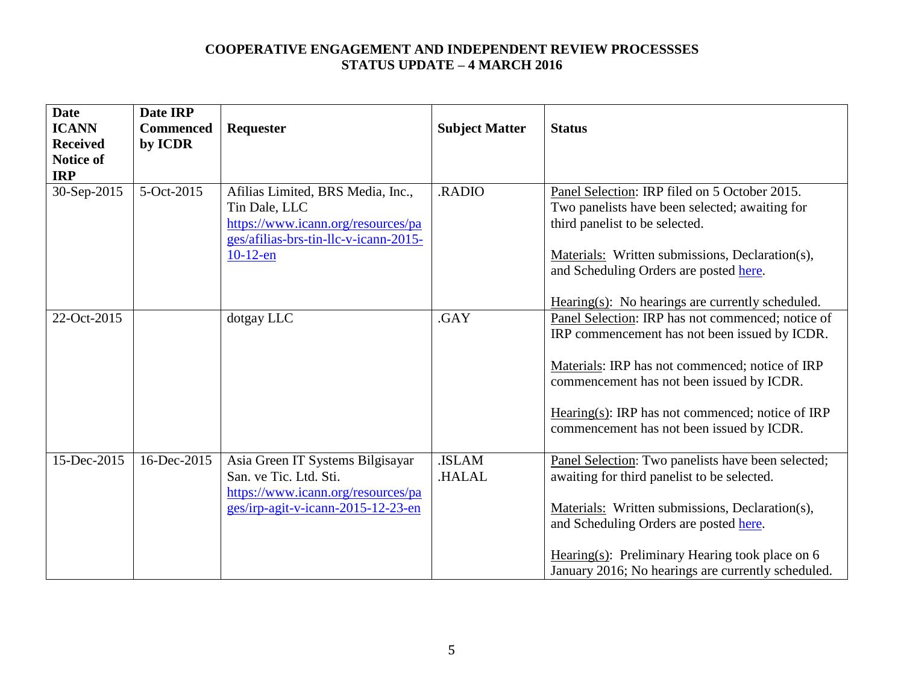| <b>Date</b><br><b>ICANN</b><br><b>Received</b><br><b>Notice of</b><br><b>IRP</b> | Date IRP<br><b>Commenced</b><br>by ICDR | <b>Requester</b>                                                                                                                                 | <b>Subject Matter</b>  | <b>Status</b>                                                                                                                                                                                                                                                                                             |
|----------------------------------------------------------------------------------|-----------------------------------------|--------------------------------------------------------------------------------------------------------------------------------------------------|------------------------|-----------------------------------------------------------------------------------------------------------------------------------------------------------------------------------------------------------------------------------------------------------------------------------------------------------|
| 30-Sep-2015                                                                      | 5-Oct-2015                              | Afilias Limited, BRS Media, Inc.,<br>Tin Dale, LLC<br>https://www.icann.org/resources/pa<br>ges/afilias-brs-tin-llc-v-icann-2015-<br>$10-12$ -en | .RADIO                 | Panel Selection: IRP filed on 5 October 2015.<br>Two panelists have been selected; awaiting for<br>third panelist to be selected.<br>Materials: Written submissions, Declaration(s),<br>and Scheduling Orders are posted here.<br>Hearing $(s)$ : No hearings are currently scheduled.                    |
| 22-Oct-2015                                                                      |                                         | dotgay LLC                                                                                                                                       | .GAY                   | Panel Selection: IRP has not commenced; notice of<br>IRP commencement has not been issued by ICDR.<br>Materials: IRP has not commenced; notice of IRP<br>commencement has not been issued by ICDR.<br>Hearing(s): IRP has not commenced; notice of IRP<br>commencement has not been issued by ICDR.       |
| 15-Dec-2015                                                                      | 16-Dec-2015                             | Asia Green IT Systems Bilgisayar<br>San. ve Tic. Ltd. Sti.<br>https://www.icann.org/resources/pa<br>ges/irp-agit-v-icann-2015-12-23-en           | <b>ISLAM</b><br>.HALAL | Panel Selection: Two panelists have been selected;<br>awaiting for third panelist to be selected.<br>Materials: Written submissions, Declaration(s),<br>and Scheduling Orders are posted here.<br>Hearing(s): Preliminary Hearing took place on $6$<br>January 2016; No hearings are currently scheduled. |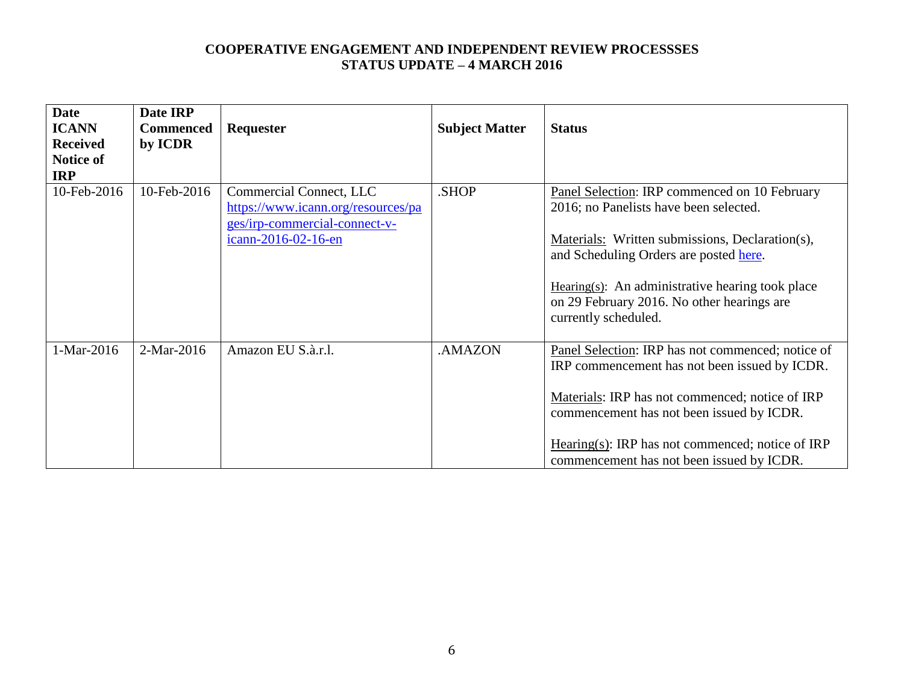| <b>Date</b><br><b>ICANN</b><br><b>Received</b><br><b>Notice of</b><br><b>IRP</b> | Date IRP<br><b>Commenced</b><br>by ICDR | Requester                                                                                                             | <b>Subject Matter</b> | <b>Status</b>                                                                                                                                                                                                                                                                                                     |
|----------------------------------------------------------------------------------|-----------------------------------------|-----------------------------------------------------------------------------------------------------------------------|-----------------------|-------------------------------------------------------------------------------------------------------------------------------------------------------------------------------------------------------------------------------------------------------------------------------------------------------------------|
| 10-Feb-2016                                                                      | 10-Feb-2016                             | Commercial Connect, LLC<br>https://www.icann.org/resources/pa<br>ges/irp-commercial-connect-v-<br>icann-2016-02-16-en | .SHOP                 | Panel Selection: IRP commenced on 10 February<br>2016; no Panelists have been selected.<br>Materials: Written submissions, Declaration(s),<br>and Scheduling Orders are posted here.<br>$Hearing(s)$ : An administrative hearing took place<br>on 29 February 2016. No other hearings are<br>currently scheduled. |
| 1-Mar-2016                                                                       | 2-Mar-2016                              | Amazon EU S.à.r.l.                                                                                                    | .AMAZON               | Panel Selection: IRP has not commenced; notice of<br>IRP commencement has not been issued by ICDR.<br>Materials: IRP has not commenced; notice of IRP<br>commencement has not been issued by ICDR.<br>Hearing(s): IRP has not commenced; notice of IRP<br>commencement has not been issued by ICDR.               |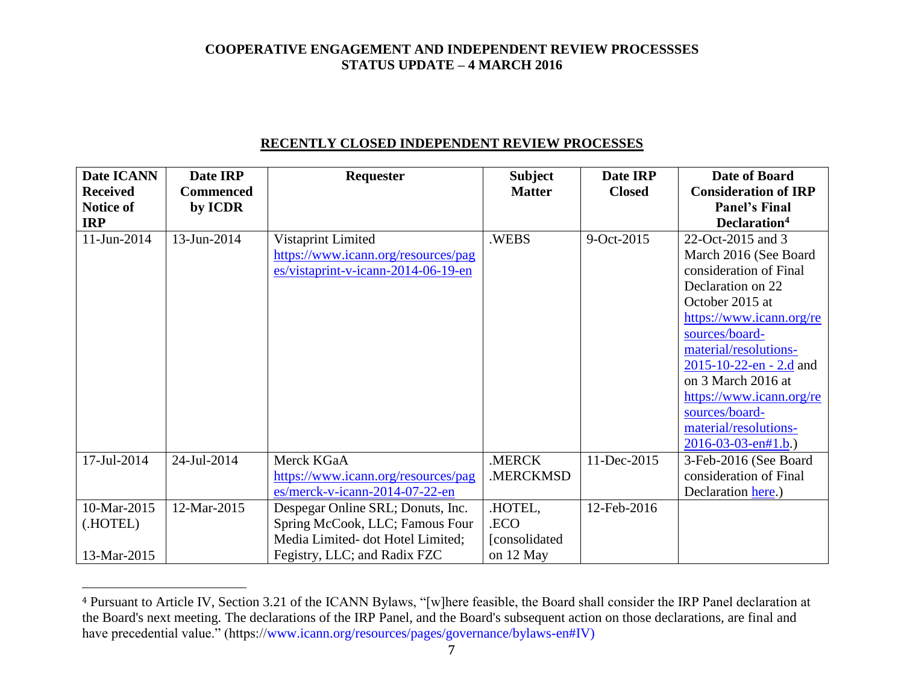### **RECENTLY CLOSED INDEPENDENT REVIEW PROCESSES**

| Date ICANN       | Date IRP         | Requester                           | <b>Subject</b> | Date IRP      | Date of Board                     |
|------------------|------------------|-------------------------------------|----------------|---------------|-----------------------------------|
| <b>Received</b>  | <b>Commenced</b> |                                     | <b>Matter</b>  | <b>Closed</b> | <b>Consideration of IRP</b>       |
| <b>Notice of</b> | by ICDR          |                                     |                |               | <b>Panel's Final</b>              |
| <b>IRP</b>       |                  |                                     |                |               | Declaration <sup>4</sup>          |
| 11-Jun-2014      | 13-Jun-2014      | Vistaprint Limited                  | .WEBS          | 9-Oct-2015    | 22-Oct-2015 and 3                 |
|                  |                  | https://www.icann.org/resources/pag |                |               | March 2016 (See Board             |
|                  |                  | es/vistaprint-v-icann-2014-06-19-en |                |               | consideration of Final            |
|                  |                  |                                     |                |               | Declaration on 22                 |
|                  |                  |                                     |                |               | October 2015 at                   |
|                  |                  |                                     |                |               | https://www.icann.org/re          |
|                  |                  |                                     |                |               | sources/board-                    |
|                  |                  |                                     |                |               | material/resolutions-             |
|                  |                  |                                     |                |               | $2015 - 10 - 22 - en - 2.d$ and   |
|                  |                  |                                     |                |               | on 3 March 2016 at                |
|                  |                  |                                     |                |               | https://www.icann.org/re          |
|                  |                  |                                     |                |               | sources/board-                    |
|                  |                  |                                     |                |               | material/resolutions-             |
|                  |                  |                                     |                |               | $2016 - 03 - 03 - \text{cn#1.b.}$ |
| 17-Jul-2014      | 24-Jul-2014      | Merck KGaA                          | .MERCK         | 11-Dec-2015   | 3-Feb-2016 (See Board             |
|                  |                  | https://www.icann.org/resources/pag | .MERCKMSD      |               | consideration of Final            |
|                  |                  | es/merck-v-icann-2014-07-22-en      |                |               | Declaration here.)                |
| 10-Mar-2015      | 12-Mar-2015      | Despegar Online SRL; Donuts, Inc.   | .HOTEL,        | 12-Feb-2016   |                                   |
| (.HOTEL)         |                  | Spring McCook, LLC; Famous Four     | .ECO           |               |                                   |
|                  |                  | Media Limited-dot Hotel Limited;    | [consolidated] |               |                                   |
| 13-Mar-2015      |                  | Fegistry, LLC; and Radix FZC        | on 12 May      |               |                                   |

<sup>4</sup> Pursuant to Article IV, Section 3.21 of the ICANN Bylaws, "[w]here feasible, the Board shall consider the IRP Panel declaration at the Board's next meeting. The declarations of the IRP Panel, and the Board's subsequent action on those declarations, are final and have precedential value." (https://www.icann.org/resources/pages/governance/bylaws-en#IV)